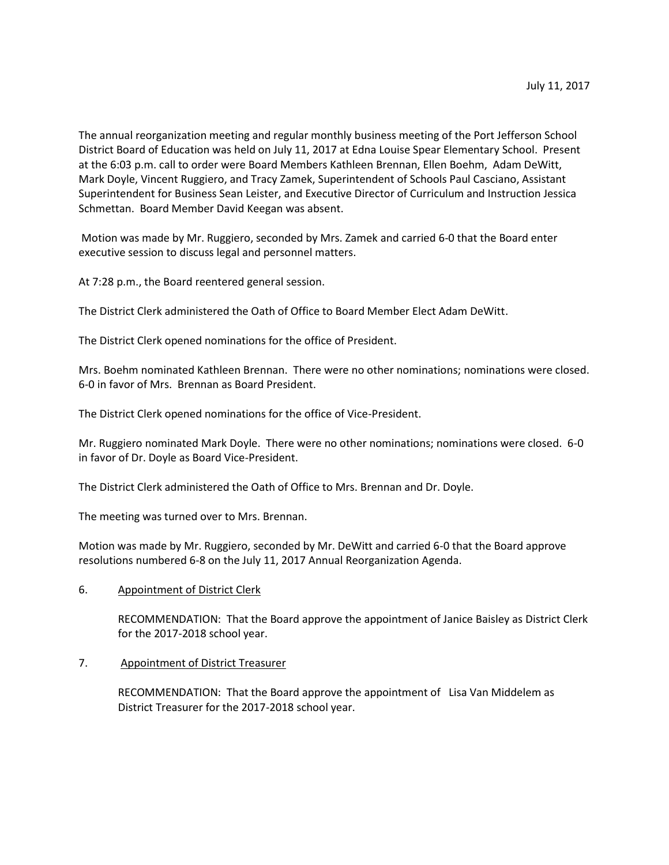The annual reorganization meeting and regular monthly business meeting of the Port Jefferson School District Board of Education was held on July 11, 2017 at Edna Louise Spear Elementary School. Present at the 6:03 p.m. call to order were Board Members Kathleen Brennan, Ellen Boehm, Adam DeWitt, Mark Doyle, Vincent Ruggiero, and Tracy Zamek, Superintendent of Schools Paul Casciano, Assistant Superintendent for Business Sean Leister, and Executive Director of Curriculum and Instruction Jessica Schmettan. Board Member David Keegan was absent.

Motion was made by Mr. Ruggiero, seconded by Mrs. Zamek and carried 6-0 that the Board enter executive session to discuss legal and personnel matters.

At 7:28 p.m., the Board reentered general session.

The District Clerk administered the Oath of Office to Board Member Elect Adam DeWitt.

The District Clerk opened nominations for the office of President.

Mrs. Boehm nominated Kathleen Brennan. There were no other nominations; nominations were closed. 6-0 in favor of Mrs. Brennan as Board President.

The District Clerk opened nominations for the office of Vice-President.

Mr. Ruggiero nominated Mark Doyle. There were no other nominations; nominations were closed. 6-0 in favor of Dr. Doyle as Board Vice-President.

The District Clerk administered the Oath of Office to Mrs. Brennan and Dr. Doyle.

The meeting was turned over to Mrs. Brennan.

Motion was made by Mr. Ruggiero, seconded by Mr. DeWitt and carried 6-0 that the Board approve resolutions numbered 6-8 on the July 11, 2017 Annual Reorganization Agenda.

# 6. Appointment of District Clerk

RECOMMENDATION: That the Board approve the appointment of Janice Baisley as District Clerk for the 2017-2018 school year.

# 7. Appointment of District Treasurer

RECOMMENDATION: That the Board approve the appointment of Lisa Van Middelem as District Treasurer for the 2017-2018 school year.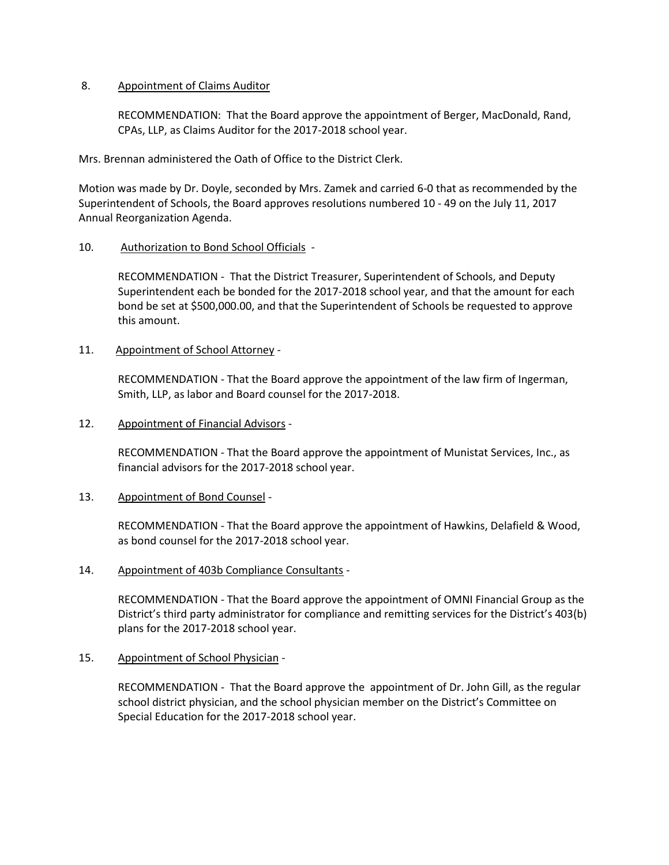# 8. Appointment of Claims Auditor

RECOMMENDATION: That the Board approve the appointment of Berger, MacDonald, Rand, CPAs, LLP, as Claims Auditor for the 2017-2018 school year.

Mrs. Brennan administered the Oath of Office to the District Clerk.

Motion was made by Dr. Doyle, seconded by Mrs. Zamek and carried 6-0 that as recommended by the Superintendent of Schools, the Board approves resolutions numbered 10 - 49 on the July 11, 2017 Annual Reorganization Agenda.

## 10. Authorization to Bond School Officials -

RECOMMENDATION - That the District Treasurer, Superintendent of Schools, and Deputy Superintendent each be bonded for the 2017-2018 school year, and that the amount for each bond be set at \$500,000.00, and that the Superintendent of Schools be requested to approve this amount.

## 11. Appointment of School Attorney -

RECOMMENDATION - That the Board approve the appointment of the law firm of Ingerman, Smith, LLP, as labor and Board counsel for the 2017-2018.

## 12. Appointment of Financial Advisors -

RECOMMENDATION - That the Board approve the appointment of Munistat Services, Inc., as financial advisors for the 2017-2018 school year.

# 13. Appointment of Bond Counsel -

RECOMMENDATION - That the Board approve the appointment of Hawkins, Delafield & Wood, as bond counsel for the 2017-2018 school year.

#### 14. Appointment of 403b Compliance Consultants -

RECOMMENDATION - That the Board approve the appointment of OMNI Financial Group as the District's third party administrator for compliance and remitting services for the District's 403(b) plans for the 2017-2018 school year.

# 15. Appointment of School Physician -

RECOMMENDATION - That the Board approve the appointment of Dr. John Gill, as the regular school district physician, and the school physician member on the District's Committee on Special Education for the 2017-2018 school year.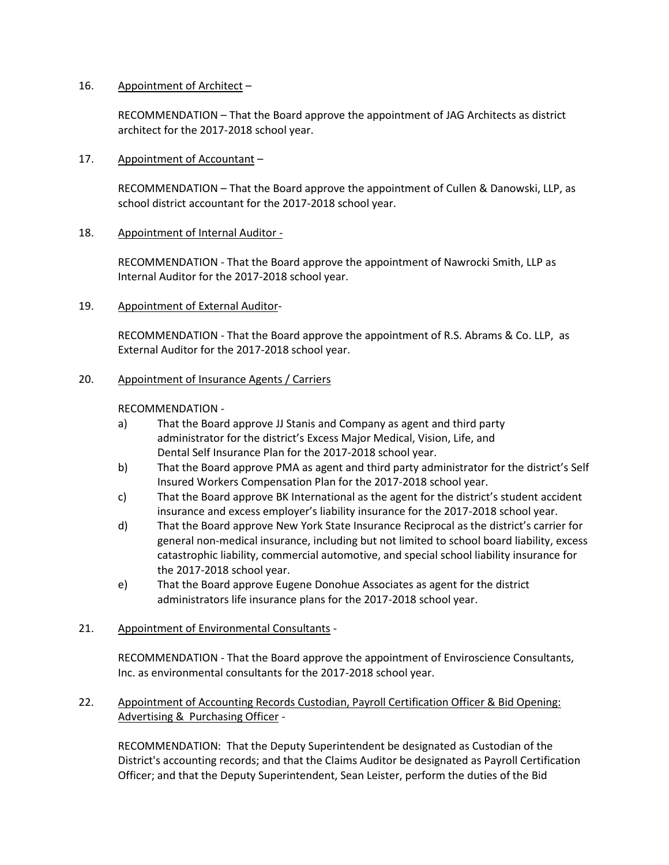## 16. Appointment of Architect –

RECOMMENDATION – That the Board approve the appointment of JAG Architects as district architect for the 2017-2018 school year.

17. Appointment of Accountant –

RECOMMENDATION – That the Board approve the appointment of Cullen & Danowski, LLP, as school district accountant for the 2017-2018 school year.

# 18. Appointment of Internal Auditor -

RECOMMENDATION - That the Board approve the appointment of Nawrocki Smith, LLP as Internal Auditor for the 2017-2018 school year.

## 19. Appointment of External Auditor-

RECOMMENDATION - That the Board approve the appointment of R.S. Abrams & Co. LLP, as External Auditor for the 2017-2018 school year.

## 20. Appointment of Insurance Agents / Carriers

## RECOMMENDATION -

- a) That the Board approve JJ Stanis and Company as agent and third party administrator for the district's Excess Major Medical, Vision, Life, and Dental Self Insurance Plan for the 2017-2018 school year.
- b) That the Board approve PMA as agent and third party administrator for the district's Self Insured Workers Compensation Plan for the 2017-2018 school year.
- c) That the Board approve BK International as the agent for the district's student accident insurance and excess employer's liability insurance for the 2017-2018 school year.
- d) That the Board approve New York State Insurance Reciprocal as the district's carrier for general non-medical insurance, including but not limited to school board liability, excess catastrophic liability, commercial automotive, and special school liability insurance for the 2017-2018 school year.
- e) That the Board approve Eugene Donohue Associates as agent for the district administrators life insurance plans for the 2017-2018 school year.

# 21. Appointment of Environmental Consultants -

RECOMMENDATION - That the Board approve the appointment of Enviroscience Consultants, Inc. as environmental consultants for the 2017-2018 school year.

22. Appointment of Accounting Records Custodian, Payroll Certification Officer & Bid Opening: Advertising & Purchasing Officer -

RECOMMENDATION: That the Deputy Superintendent be designated as Custodian of the District's accounting records; and that the Claims Auditor be designated as Payroll Certification Officer; and that the Deputy Superintendent, Sean Leister, perform the duties of the Bid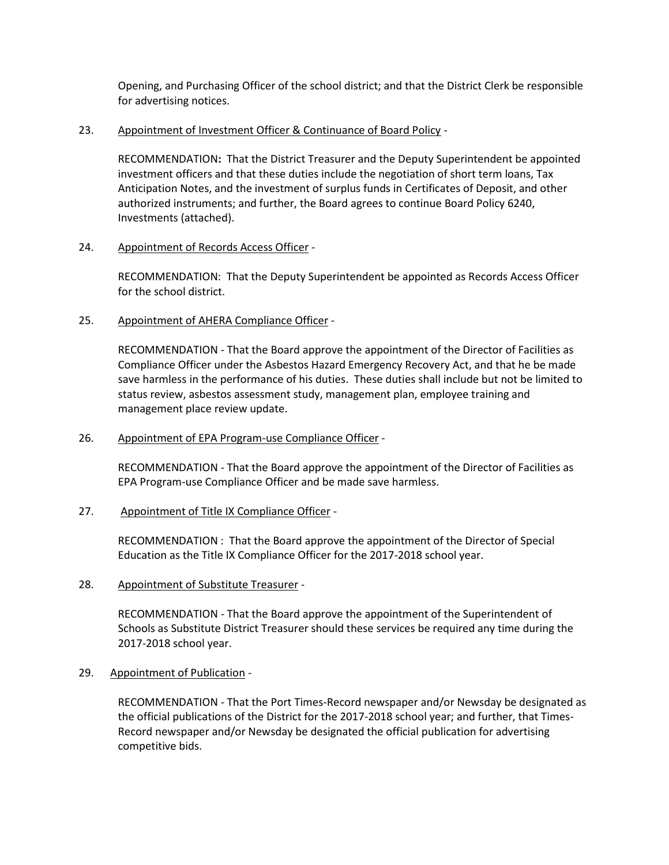Opening, and Purchasing Officer of the school district; and that the District Clerk be responsible for advertising notices.

## 23. Appointment of Investment Officer & Continuance of Board Policy -

RECOMMENDATION**:** That the District Treasurer and the Deputy Superintendent be appointed investment officers and that these duties include the negotiation of short term loans, Tax Anticipation Notes, and the investment of surplus funds in Certificates of Deposit, and other authorized instruments; and further, the Board agrees to continue Board Policy 6240, Investments (attached).

## 24. Appointment of Records Access Officer -

RECOMMENDATION: That the Deputy Superintendent be appointed as Records Access Officer for the school district.

# 25. Appointment of AHERA Compliance Officer -

RECOMMENDATION - That the Board approve the appointment of the Director of Facilities as Compliance Officer under the Asbestos Hazard Emergency Recovery Act, and that he be made save harmless in the performance of his duties. These duties shall include but not be limited to status review, asbestos assessment study, management plan, employee training and management place review update.

## 26. Appointment of EPA Program-use Compliance Officer -

RECOMMENDATION - That the Board approve the appointment of the Director of Facilities as EPA Program-use Compliance Officer and be made save harmless.

# 27. Appointment of Title IX Compliance Officer -

RECOMMENDATION : That the Board approve the appointment of the Director of Special Education as the Title IX Compliance Officer for the 2017-2018 school year.

# 28. Appointment of Substitute Treasurer -

RECOMMENDATION - That the Board approve the appointment of the Superintendent of Schools as Substitute District Treasurer should these services be required any time during the 2017-2018 school year.

# 29. Appointment of Publication -

RECOMMENDATION - That the Port Times-Record newspaper and/or Newsday be designated as the official publications of the District for the 2017-2018 school year; and further, that Times-Record newspaper and/or Newsday be designated the official publication for advertising competitive bids.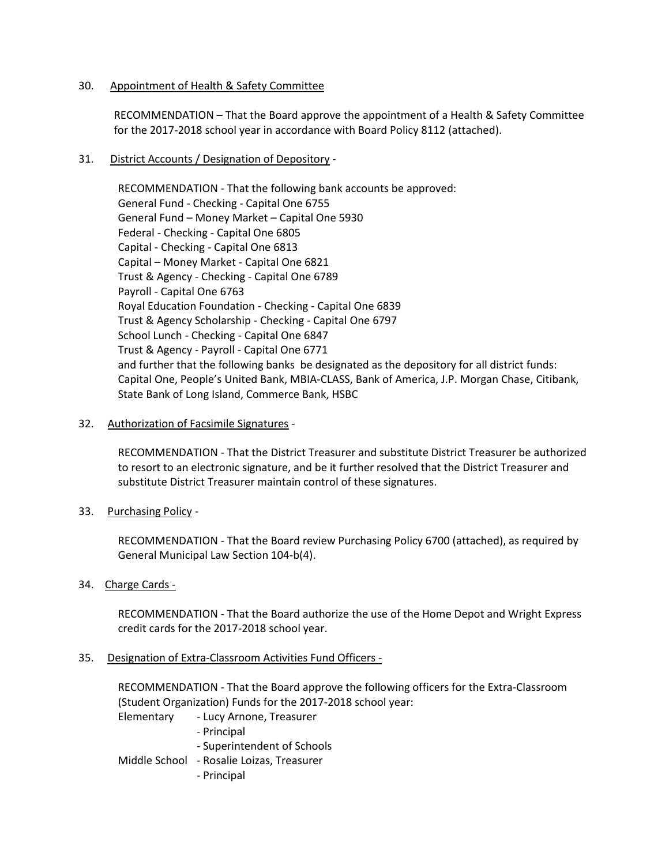## 30. Appointment of Health & Safety Committee

RECOMMENDATION – That the Board approve the appointment of a Health & Safety Committee for the 2017-2018 school year in accordance with Board Policy 8112 (attached).

# 31. District Accounts / Designation of Depository -

RECOMMENDATION - That the following bank accounts be approved: General Fund - Checking - Capital One 6755 General Fund – Money Market – Capital One 5930 Federal - Checking - Capital One 6805 Capital - Checking - Capital One 6813 Capital – Money Market - Capital One 6821 Trust & Agency - Checking - Capital One 6789 Payroll - Capital One 6763 Royal Education Foundation - Checking - Capital One 6839 Trust & Agency Scholarship - Checking - Capital One 6797 School Lunch - Checking - Capital One 6847 Trust & Agency - Payroll - Capital One 6771 and further that the following banks be designated as the depository for all district funds: Capital One, People's United Bank, MBIA-CLASS, Bank of America, J.P. Morgan Chase, Citibank, State Bank of Long Island, Commerce Bank, HSBC

## 32. Authorization of Facsimile Signatures -

RECOMMENDATION - That the District Treasurer and substitute District Treasurer be authorized to resort to an electronic signature, and be it further resolved that the District Treasurer and substitute District Treasurer maintain control of these signatures.

# 33. Purchasing Policy -

RECOMMENDATION - That the Board review Purchasing Policy 6700 (attached), as required by General Municipal Law Section 104-b(4).

# 34. Charge Cards -

RECOMMENDATION - That the Board authorize the use of the Home Depot and Wright Express credit cards for the 2017-2018 school year.

# 35. Designation of Extra-Classroom Activities Fund Officers -

RECOMMENDATION - That the Board approve the following officers for the Extra-Classroom (Student Organization) Funds for the 2017-2018 school year:

Elementary - Lucy Arnone, Treasurer

- Principal
- Superintendent of Schools

# Middle School - Rosalie Loizas, Treasurer

- Principal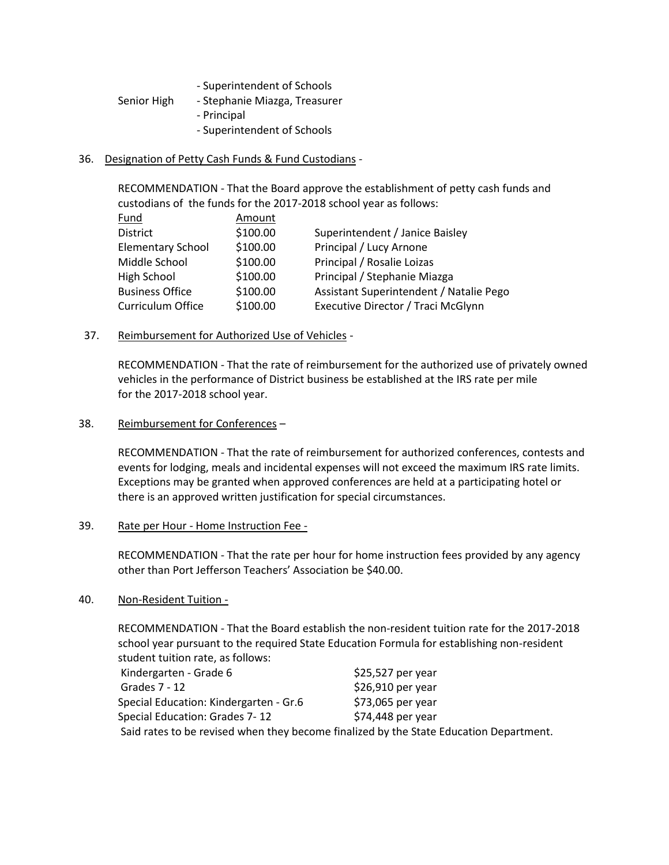| - Superintendent of Schools |  |
|-----------------------------|--|
|-----------------------------|--|

- Senior High Stephanie Miazga, Treasurer
	- Principal
		- Superintendent of Schools

## 36. Designation of Petty Cash Funds & Fund Custodians -

RECOMMENDATION - That the Board approve the establishment of petty cash funds and custodians of the funds for the 2017-2018 school year as follows:

| Fund            |                          | Amount   |                                         |
|-----------------|--------------------------|----------|-----------------------------------------|
| <b>District</b> |                          | \$100.00 | Superintendent / Janice Baisley         |
|                 | <b>Elementary School</b> | \$100.00 | Principal / Lucy Arnone                 |
| Middle School   |                          | \$100.00 | Principal / Rosalie Loizas              |
| High School     |                          | \$100.00 | Principal / Stephanie Miazga            |
|                 | <b>Business Office</b>   | \$100.00 | Assistant Superintendent / Natalie Pego |
|                 | Curriculum Office        | \$100.00 | Executive Director / Traci McGlynn      |

37. Reimbursement for Authorized Use of Vehicles -

RECOMMENDATION - That the rate of reimbursement for the authorized use of privately owned vehicles in the performance of District business be established at the IRS rate per mile for the 2017-2018 school year.

#### 38. Reimbursement for Conferences –

RECOMMENDATION - That the rate of reimbursement for authorized conferences, contests and events for lodging, meals and incidental expenses will not exceed the maximum IRS rate limits. Exceptions may be granted when approved conferences are held at a participating hotel or there is an approved written justification for special circumstances.

#### 39. Rate per Hour - Home Instruction Fee -

RECOMMENDATION - That the rate per hour for home instruction fees provided by any agency other than Port Jefferson Teachers' Association be \$40.00.

# 40. Non-Resident Tuition -

RECOMMENDATION - That the Board establish the non-resident tuition rate for the 2017-2018 school year pursuant to the required State Education Formula for establishing non-resident student tuition rate, as follows:

| Kindergarten - Grade 6                                                                 | $$25,527$ per year |
|----------------------------------------------------------------------------------------|--------------------|
| Grades 7 - 12                                                                          | \$26,910 per year  |
| Special Education: Kindergarten - Gr.6                                                 | \$73,065 per year  |
| Special Education: Grades 7-12                                                         | $$74,448$ per year |
| Said rates to be revised when they become finalized by the State Education Department. |                    |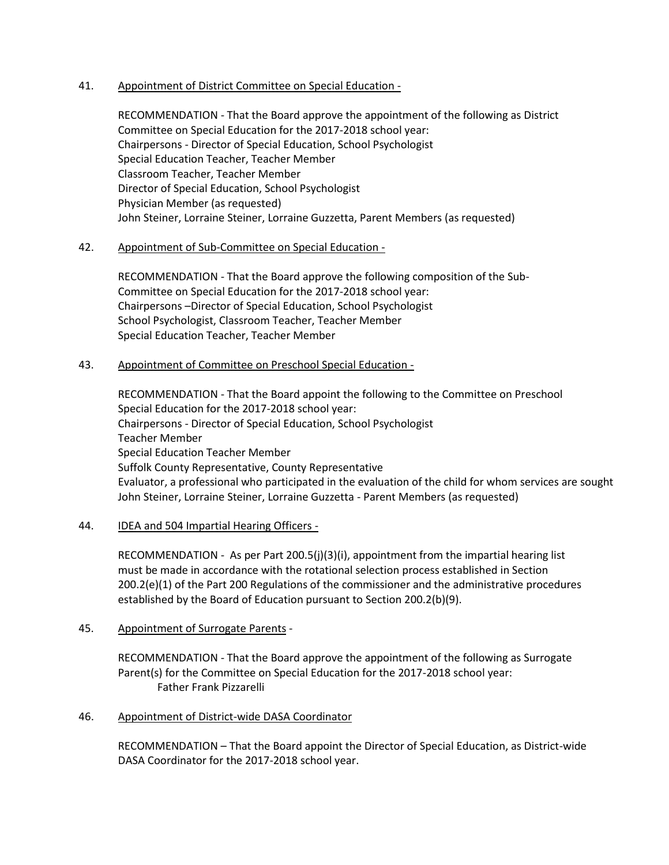## 41. Appointment of District Committee on Special Education -

RECOMMENDATION - That the Board approve the appointment of the following as District Committee on Special Education for the 2017-2018 school year: Chairpersons - Director of Special Education, School Psychologist Special Education Teacher, Teacher Member Classroom Teacher, Teacher Member Director of Special Education, School Psychologist Physician Member (as requested) John Steiner, Lorraine Steiner, Lorraine Guzzetta, Parent Members (as requested)

## 42. Appointment of Sub-Committee on Special Education -

RECOMMENDATION - That the Board approve the following composition of the Sub-Committee on Special Education for the 2017-2018 school year: Chairpersons –Director of Special Education, School Psychologist School Psychologist, Classroom Teacher, Teacher Member Special Education Teacher, Teacher Member

# 43. Appointment of Committee on Preschool Special Education -

RECOMMENDATION - That the Board appoint the following to the Committee on Preschool Special Education for the 2017-2018 school year: Chairpersons - Director of Special Education, School Psychologist Teacher Member Special Education Teacher Member Suffolk County Representative, County Representative Evaluator, a professional who participated in the evaluation of the child for whom services are sought John Steiner, Lorraine Steiner, Lorraine Guzzetta - Parent Members (as requested)

# 44. **IDEA and 504 Impartial Hearing Officers -**

RECOMMENDATION - As per Part 200.5(j)(3)(i), appointment from the impartial hearing list must be made in accordance with the rotational selection process established in Section 200.2(e)(1) of the Part 200 Regulations of the commissioner and the administrative procedures established by the Board of Education pursuant to Section 200.2(b)(9).

# 45. Appointment of Surrogate Parents -

RECOMMENDATION - That the Board approve the appointment of the following as Surrogate Parent(s) for the Committee on Special Education for the 2017-2018 school year: Father Frank Pizzarelli

# 46. Appointment of District-wide DASA Coordinator

RECOMMENDATION – That the Board appoint the Director of Special Education, as District-wide DASA Coordinator for the 2017-2018 school year.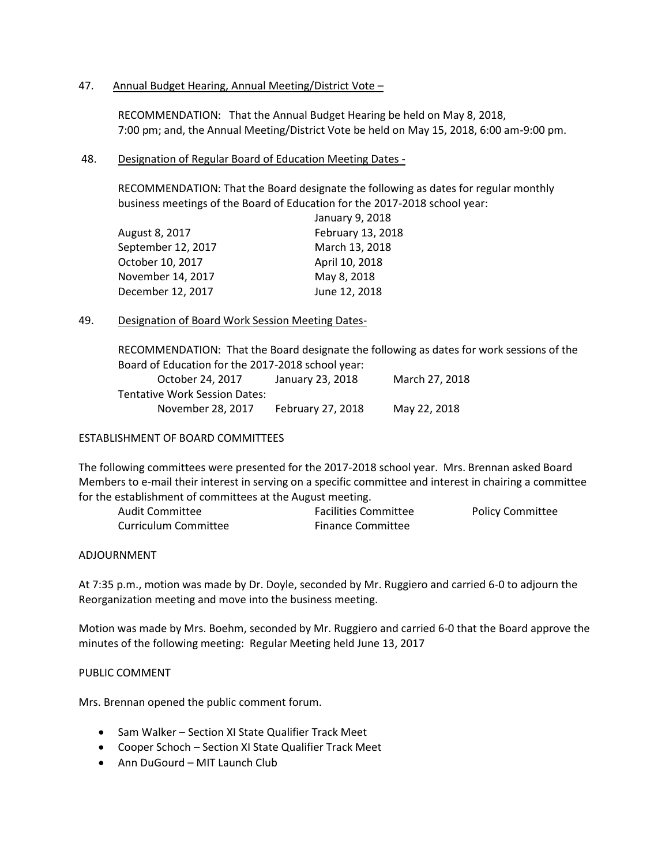## 47. Annual Budget Hearing, Annual Meeting/District Vote -

RECOMMENDATION: That the Annual Budget Hearing be held on May 8, 2018, 7:00 pm; and, the Annual Meeting/District Vote be held on May 15, 2018, 6:00 am-9:00 pm.

#### 48. Designation of Regular Board of Education Meeting Dates -

RECOMMENDATION: That the Board designate the following as dates for regular monthly business meetings of the Board of Education for the 2017-2018 school year:

|                    | January 9, 2018   |
|--------------------|-------------------|
| August 8, 2017     | February 13, 2018 |
| September 12, 2017 | March 13, 2018    |
| October 10, 2017   | April 10, 2018    |
| November 14, 2017  | May 8, 2018       |
| December 12, 2017  | June 12, 2018     |
|                    |                   |

## 49. Designation of Board Work Session Meeting Dates-

RECOMMENDATION: That the Board designate the following as dates for work sessions of the Board of Education for the 2017-2018 school year:

| October 24, 2017              | January 23, 2018  | March 27, 2018 |
|-------------------------------|-------------------|----------------|
| Tentative Work Session Dates: |                   |                |
| November 28, 2017             | February 27, 2018 | May 22, 2018   |

## ESTABLISHMENT OF BOARD COMMITTEES

The following committees were presented for the 2017-2018 school year. Mrs. Brennan asked Board Members to e-mail their interest in serving on a specific committee and interest in chairing a committee for the establishment of committees at the August meeting.

| Audit Committee      | <b>Facilities Committee</b> | <b>Policy Committee</b> |
|----------------------|-----------------------------|-------------------------|
| Curriculum Committee | <b>Finance Committee</b>    |                         |

#### ADJOURNMENT

At 7:35 p.m., motion was made by Dr. Doyle, seconded by Mr. Ruggiero and carried 6-0 to adjourn the Reorganization meeting and move into the business meeting.

Motion was made by Mrs. Boehm, seconded by Mr. Ruggiero and carried 6-0 that the Board approve the minutes of the following meeting: Regular Meeting held June 13, 2017

## PUBLIC COMMENT

Mrs. Brennan opened the public comment forum.

- Sam Walker Section XI State Qualifier Track Meet
- Cooper Schoch Section XI State Qualifier Track Meet
- Ann DuGourd MIT Launch Club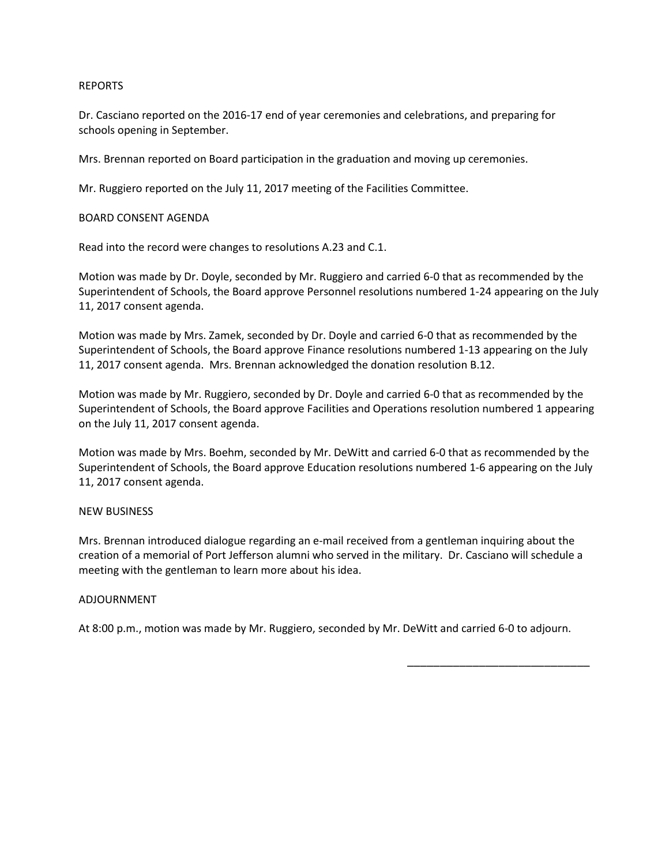#### REPORTS

Dr. Casciano reported on the 2016-17 end of year ceremonies and celebrations, and preparing for schools opening in September.

Mrs. Brennan reported on Board participation in the graduation and moving up ceremonies.

Mr. Ruggiero reported on the July 11, 2017 meeting of the Facilities Committee.

#### BOARD CONSENT AGENDA

Read into the record were changes to resolutions A.23 and C.1.

Motion was made by Dr. Doyle, seconded by Mr. Ruggiero and carried 6-0 that as recommended by the Superintendent of Schools, the Board approve Personnel resolutions numbered 1-24 appearing on the July 11, 2017 consent agenda.

Motion was made by Mrs. Zamek, seconded by Dr. Doyle and carried 6-0 that as recommended by the Superintendent of Schools, the Board approve Finance resolutions numbered 1-13 appearing on the July 11, 2017 consent agenda. Mrs. Brennan acknowledged the donation resolution B.12.

Motion was made by Mr. Ruggiero, seconded by Dr. Doyle and carried 6-0 that as recommended by the Superintendent of Schools, the Board approve Facilities and Operations resolution numbered 1 appearing on the July 11, 2017 consent agenda.

Motion was made by Mrs. Boehm, seconded by Mr. DeWitt and carried 6-0 that as recommended by the Superintendent of Schools, the Board approve Education resolutions numbered 1-6 appearing on the July 11, 2017 consent agenda.

#### NEW BUSINESS

Mrs. Brennan introduced dialogue regarding an e-mail received from a gentleman inquiring about the creation of a memorial of Port Jefferson alumni who served in the military. Dr. Casciano will schedule a meeting with the gentleman to learn more about his idea.

#### ADJOURNMENT

At 8:00 p.m., motion was made by Mr. Ruggiero, seconded by Mr. DeWitt and carried 6-0 to adjourn.

\_\_\_\_\_\_\_\_\_\_\_\_\_\_\_\_\_\_\_\_\_\_\_\_\_\_\_\_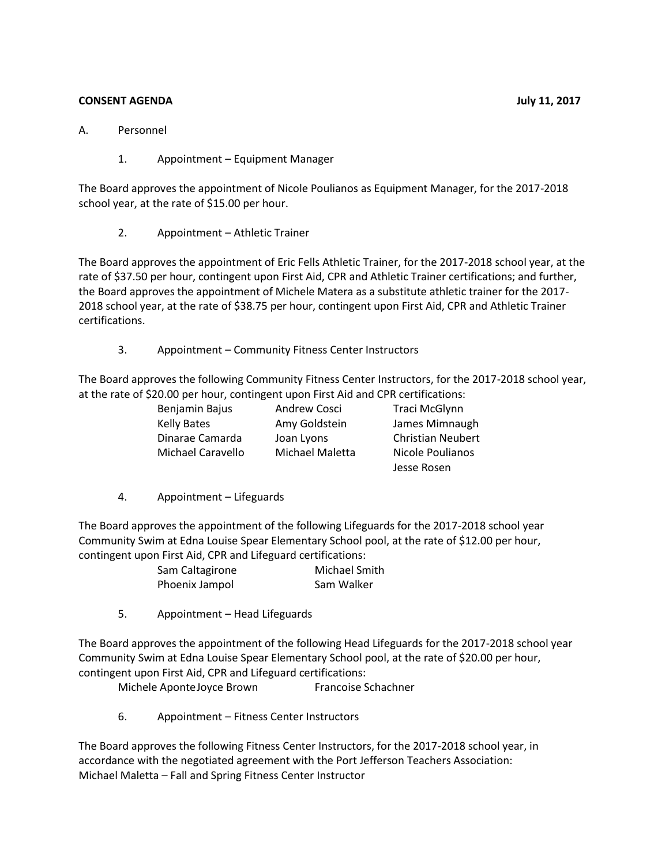# **CONSENT AGENDA July 11, 2017**

- A. Personnel
	- 1. Appointment Equipment Manager

The Board approves the appointment of Nicole Poulianos as Equipment Manager, for the 2017-2018 school year, at the rate of \$15.00 per hour.

2. Appointment – Athletic Trainer

The Board approves the appointment of Eric Fells Athletic Trainer, for the 2017-2018 school year, at the rate of \$37.50 per hour, contingent upon First Aid, CPR and Athletic Trainer certifications; and further, the Board approves the appointment of Michele Matera as a substitute athletic trainer for the 2017- 2018 school year, at the rate of \$38.75 per hour, contingent upon First Aid, CPR and Athletic Trainer certifications.

3. Appointment – Community Fitness Center Instructors

The Board approves the following Community Fitness Center Instructors, for the 2017-2018 school year, at the rate of \$20.00 per hour, contingent upon First Aid and CPR certifications:

| Benjamin Bajus     | <b>Andrew Cosci</b> | Traci McGlynn            |
|--------------------|---------------------|--------------------------|
| <b>Kelly Bates</b> | Amy Goldstein       | James Mimnaugh           |
| Dinarae Camarda    | Joan Lyons          | <b>Christian Neubert</b> |
| Michael Caravello  | Michael Maletta     | Nicole Poulianos         |
|                    |                     | Jesse Rosen              |

4. Appointment – Lifeguards

The Board approves the appointment of the following Lifeguards for the 2017-2018 school year Community Swim at Edna Louise Spear Elementary School pool, at the rate of \$12.00 per hour, contingent upon First Aid, CPR and Lifeguard certifications:

| pon not naj on nana Encada a continuations. |                      |
|---------------------------------------------|----------------------|
| Sam Caltagirone                             | <b>Michael Smith</b> |
| Phoenix Jampol                              | Sam Walker           |

5. Appointment – Head Lifeguards

The Board approves the appointment of the following Head Lifeguards for the 2017-2018 school year Community Swim at Edna Louise Spear Elementary School pool, at the rate of \$20.00 per hour, contingent upon First Aid, CPR and Lifeguard certifications:

Michele AponteJoyce Brown Francoise Schachner

6. Appointment – Fitness Center Instructors

The Board approves the following Fitness Center Instructors, for the 2017-2018 school year, in accordance with the negotiated agreement with the Port Jefferson Teachers Association: Michael Maletta – Fall and Spring Fitness Center Instructor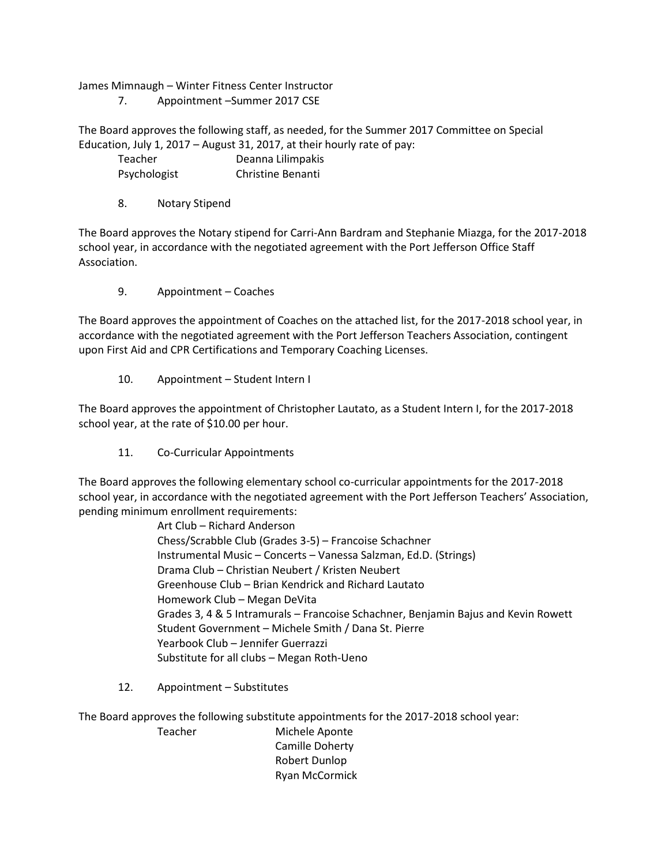James Mimnaugh – Winter Fitness Center Instructor

7. Appointment –Summer 2017 CSE

The Board approves the following staff, as needed, for the Summer 2017 Committee on Special Education, July 1, 2017 – August 31, 2017, at their hourly rate of pay:

| <b>Teacher</b> | Deanna Lilimpakis |
|----------------|-------------------|
| Psychologist   | Christine Benanti |

8. Notary Stipend

The Board approves the Notary stipend for Carri-Ann Bardram and Stephanie Miazga, for the 2017-2018 school year, in accordance with the negotiated agreement with the Port Jefferson Office Staff Association.

9. Appointment – Coaches

The Board approves the appointment of Coaches on the attached list, for the 2017-2018 school year, in accordance with the negotiated agreement with the Port Jefferson Teachers Association, contingent upon First Aid and CPR Certifications and Temporary Coaching Licenses.

10. Appointment – Student Intern I

The Board approves the appointment of Christopher Lautato, as a Student Intern I, for the 2017-2018 school year, at the rate of \$10.00 per hour.

11. Co-Curricular Appointments

The Board approves the following elementary school co-curricular appointments for the 2017-2018 school year, in accordance with the negotiated agreement with the Port Jefferson Teachers' Association, pending minimum enrollment requirements:

> Art Club – Richard Anderson Chess/Scrabble Club (Grades 3-5) – Francoise Schachner Instrumental Music – Concerts – Vanessa Salzman, Ed.D. (Strings) Drama Club – Christian Neubert / Kristen Neubert Greenhouse Club – Brian Kendrick and Richard Lautato Homework Club – Megan DeVita Grades 3, 4 & 5 Intramurals – Francoise Schachner, Benjamin Bajus and Kevin Rowett Student Government – Michele Smith / Dana St. Pierre Yearbook Club – Jennifer Guerrazzi Substitute for all clubs – Megan Roth-Ueno

12. Appointment – Substitutes

The Board approves the following substitute appointments for the 2017-2018 school year:

Teacher Michele Aponte Camille Doherty Robert Dunlop Ryan McCormick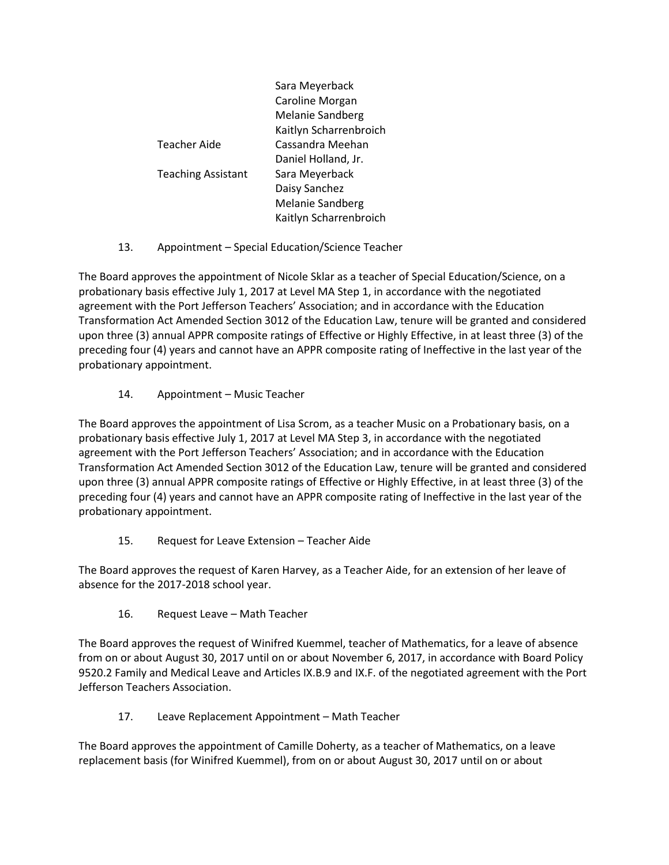|                           | Sara Meyerback         |
|---------------------------|------------------------|
|                           | Caroline Morgan        |
|                           | Melanie Sandberg       |
|                           | Kaitlyn Scharrenbroich |
| <b>Teacher Aide</b>       | Cassandra Meehan       |
|                           | Daniel Holland, Jr.    |
| <b>Teaching Assistant</b> | Sara Meyerback         |
|                           | Daisy Sanchez          |
|                           | Melanie Sandberg       |
|                           | Kaitlyn Scharrenbroich |

13. Appointment – Special Education/Science Teacher

The Board approves the appointment of Nicole Sklar as a teacher of Special Education/Science, on a probationary basis effective July 1, 2017 at Level MA Step 1, in accordance with the negotiated agreement with the Port Jefferson Teachers' Association; and in accordance with the Education Transformation Act Amended Section 3012 of the Education Law, tenure will be granted and considered upon three (3) annual APPR composite ratings of Effective or Highly Effective, in at least three (3) of the preceding four (4) years and cannot have an APPR composite rating of Ineffective in the last year of the probationary appointment.

14. Appointment – Music Teacher

The Board approves the appointment of Lisa Scrom, as a teacher Music on a Probationary basis, on a probationary basis effective July 1, 2017 at Level MA Step 3, in accordance with the negotiated agreement with the Port Jefferson Teachers' Association; and in accordance with the Education Transformation Act Amended Section 3012 of the Education Law, tenure will be granted and considered upon three (3) annual APPR composite ratings of Effective or Highly Effective, in at least three (3) of the preceding four (4) years and cannot have an APPR composite rating of Ineffective in the last year of the probationary appointment.

15. Request for Leave Extension – Teacher Aide

The Board approves the request of Karen Harvey, as a Teacher Aide, for an extension of her leave of absence for the 2017-2018 school year.

16. Request Leave – Math Teacher

The Board approves the request of Winifred Kuemmel, teacher of Mathematics, for a leave of absence from on or about August 30, 2017 until on or about November 6, 2017, in accordance with Board Policy 9520.2 Family and Medical Leave and Articles IX.B.9 and IX.F. of the negotiated agreement with the Port Jefferson Teachers Association.

17. Leave Replacement Appointment – Math Teacher

The Board approves the appointment of Camille Doherty, as a teacher of Mathematics, on a leave replacement basis (for Winifred Kuemmel), from on or about August 30, 2017 until on or about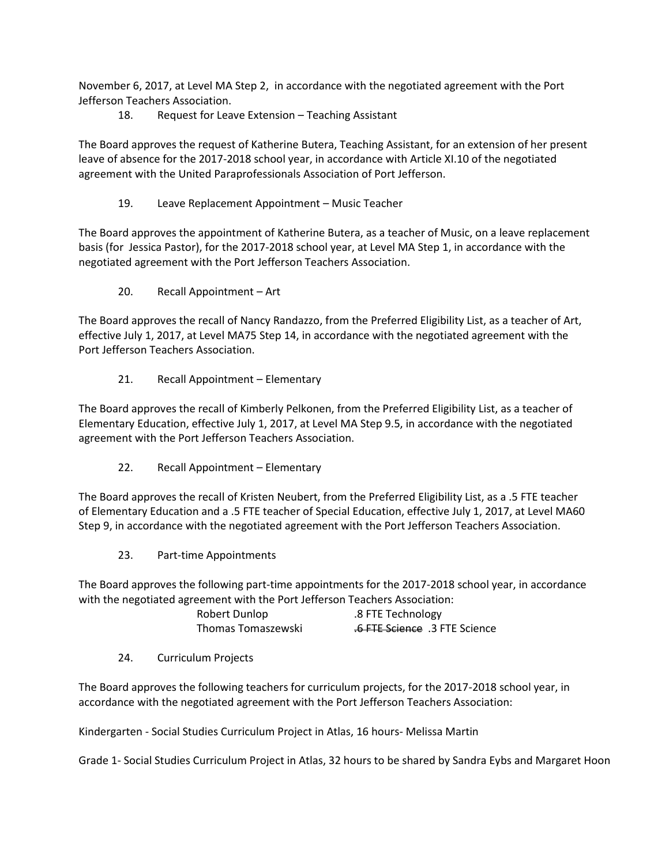November 6, 2017, at Level MA Step 2, in accordance with the negotiated agreement with the Port Jefferson Teachers Association.

# 18. Request for Leave Extension – Teaching Assistant

The Board approves the request of Katherine Butera, Teaching Assistant, for an extension of her present leave of absence for the 2017-2018 school year, in accordance with Article XI.10 of the negotiated agreement with the United Paraprofessionals Association of Port Jefferson.

# 19. Leave Replacement Appointment – Music Teacher

The Board approves the appointment of Katherine Butera, as a teacher of Music, on a leave replacement basis (for Jessica Pastor), for the 2017-2018 school year, at Level MA Step 1, in accordance with the negotiated agreement with the Port Jefferson Teachers Association.

20. Recall Appointment – Art

The Board approves the recall of Nancy Randazzo, from the Preferred Eligibility List, as a teacher of Art, effective July 1, 2017, at Level MA75 Step 14, in accordance with the negotiated agreement with the Port Jefferson Teachers Association.

21. Recall Appointment – Elementary

The Board approves the recall of Kimberly Pelkonen, from the Preferred Eligibility List, as a teacher of Elementary Education, effective July 1, 2017, at Level MA Step 9.5, in accordance with the negotiated agreement with the Port Jefferson Teachers Association.

22. Recall Appointment – Elementary

The Board approves the recall of Kristen Neubert, from the Preferred Eligibility List, as a .5 FTE teacher of Elementary Education and a .5 FTE teacher of Special Education, effective July 1, 2017, at Level MA60 Step 9, in accordance with the negotiated agreement with the Port Jefferson Teachers Association.

23. Part-time Appointments

The Board approves the following part-time appointments for the 2017-2018 school year, in accordance with the negotiated agreement with the Port Jefferson Teachers Association:

| Robert Dunlop      | .8 FTE Technology              |
|--------------------|--------------------------------|
| Thomas Tomaszewski | 5.6 FTE Science .3 FTE Science |

24. Curriculum Projects

The Board approves the following teachers for curriculum projects, for the 2017-2018 school year, in accordance with the negotiated agreement with the Port Jefferson Teachers Association:

Kindergarten - Social Studies Curriculum Project in Atlas, 16 hours- Melissa Martin

Grade 1- Social Studies Curriculum Project in Atlas, 32 hours to be shared by Sandra Eybs and Margaret Hoon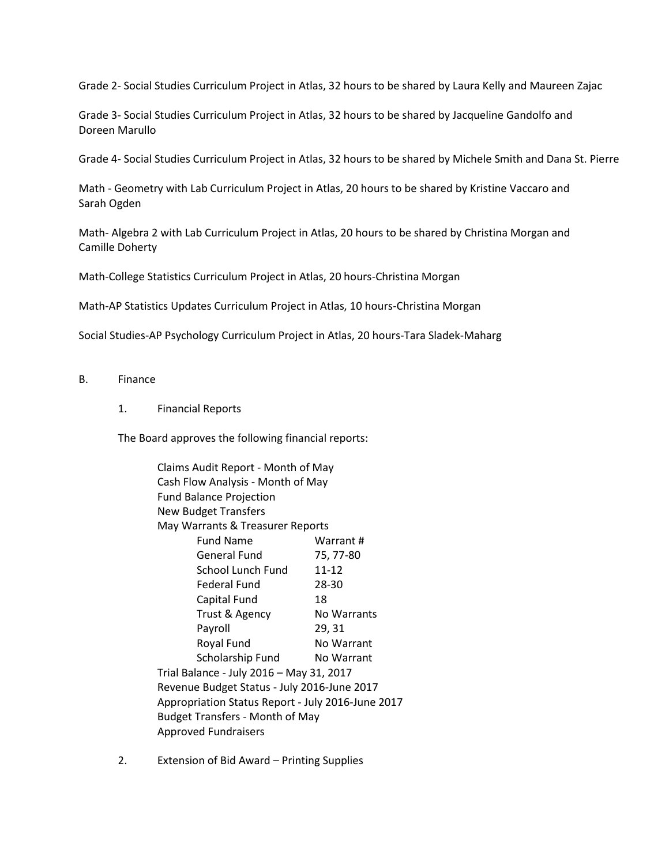Grade 2- Social Studies Curriculum Project in Atlas, 32 hours to be shared by Laura Kelly and Maureen Zajac

Grade 3- Social Studies Curriculum Project in Atlas, 32 hours to be shared by Jacqueline Gandolfo and Doreen Marullo

Grade 4- Social Studies Curriculum Project in Atlas, 32 hours to be shared by Michele Smith and Dana St. Pierre

Math - Geometry with Lab Curriculum Project in Atlas, 20 hours to be shared by Kristine Vaccaro and Sarah Ogden

Math- Algebra 2 with Lab Curriculum Project in Atlas, 20 hours to be shared by Christina Morgan and Camille Doherty

Math-College Statistics Curriculum Project in Atlas, 20 hours-Christina Morgan

Math-AP Statistics Updates Curriculum Project in Atlas, 10 hours-Christina Morgan

Social Studies-AP Psychology Curriculum Project in Atlas, 20 hours-Tara Sladek-Maharg

- B. Finance
	- 1. Financial Reports

The Board approves the following financial reports:

Claims Audit Report - Month of May Cash Flow Analysis - Month of May Fund Balance Projection New Budget Transfers May Warrants & Treasurer Reports Fund Name Warrant # General Fund 75, 77-80 School Lunch Fund 11-12 Federal Fund 28-30 Capital Fund 18 Trust & Agency No Warrants Payroll 29, 31 Royal Fund No Warrant Scholarship Fund No Warrant Trial Balance - July 2016 – May 31, 2017 Revenue Budget Status - July 2016-June 2017 Appropriation Status Report - July 2016-June 2017 Budget Transfers - Month of May Approved Fundraisers

2. Extension of Bid Award – Printing Supplies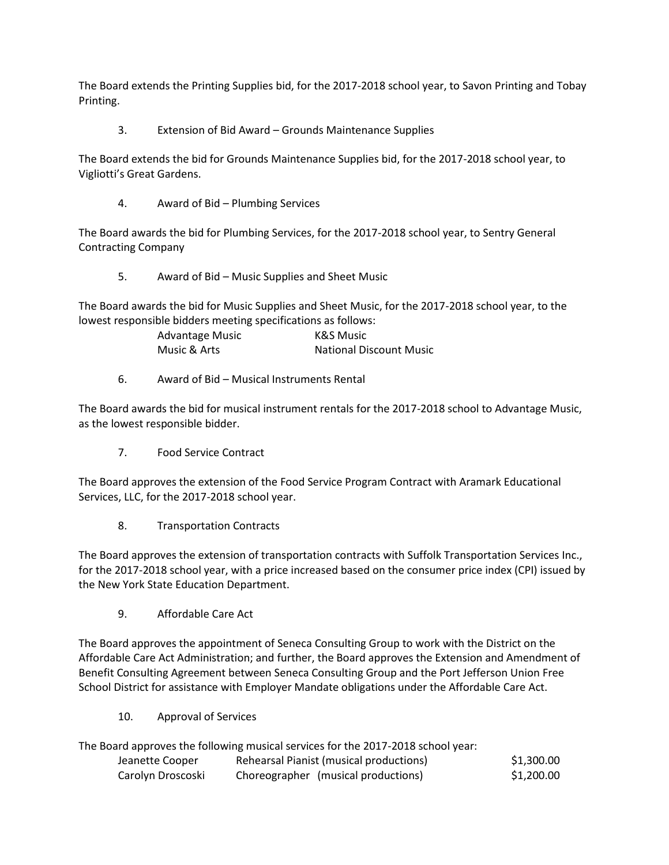The Board extends the Printing Supplies bid, for the 2017-2018 school year, to Savon Printing and Tobay Printing.

3. Extension of Bid Award – Grounds Maintenance Supplies

The Board extends the bid for Grounds Maintenance Supplies bid, for the 2017-2018 school year, to Vigliotti's Great Gardens.

4. Award of Bid – Plumbing Services

The Board awards the bid for Plumbing Services, for the 2017-2018 school year, to Sentry General Contracting Company

5. Award of Bid – Music Supplies and Sheet Music

The Board awards the bid for Music Supplies and Sheet Music, for the 2017-2018 school year, to the lowest responsible bidders meeting specifications as follows:

| Advantage Music | K&S Music                      |
|-----------------|--------------------------------|
| Music & Arts    | <b>National Discount Music</b> |

6. Award of Bid – Musical Instruments Rental

The Board awards the bid for musical instrument rentals for the 2017-2018 school to Advantage Music, as the lowest responsible bidder.

7. Food Service Contract

The Board approves the extension of the Food Service Program Contract with Aramark Educational Services, LLC, for the 2017-2018 school year.

8. Transportation Contracts

The Board approves the extension of transportation contracts with Suffolk Transportation Services Inc., for the 2017-2018 school year, with a price increased based on the consumer price index (CPI) issued by the New York State Education Department.

9. Affordable Care Act

The Board approves the appointment of Seneca Consulting Group to work with the District on the Affordable Care Act Administration; and further, the Board approves the Extension and Amendment of Benefit Consulting Agreement between Seneca Consulting Group and the Port Jefferson Union Free School District for assistance with Employer Mandate obligations under the Affordable Care Act.

10. Approval of Services

The Board approves the following musical services for the 2017-2018 school year: Jeanette Cooper Rehearsal Pianist (musical productions) \$1,300.00

| Jedijetite Cooper | Reflearsaí Fiarlist (filúsical productions) | <b>JI,JUU.UU</b> |
|-------------------|---------------------------------------------|------------------|
| Carolyn Droscoski | Choreographer (musical productions)         | \$1,200.00       |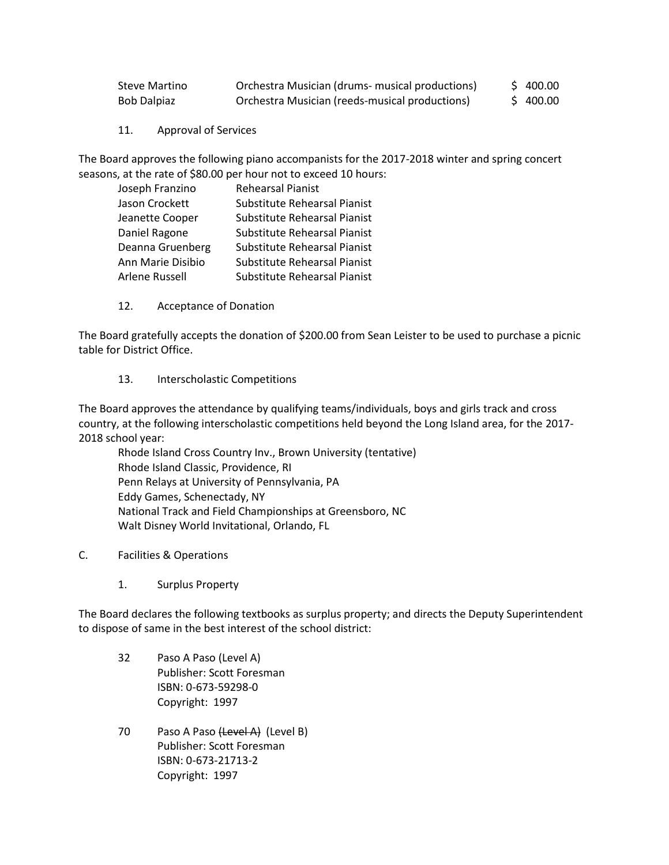| Steve Martino      | Orchestra Musician (drums- musical productions) | \$400.00 |
|--------------------|-------------------------------------------------|----------|
| <b>Bob Dalpiaz</b> | Orchestra Musician (reeds-musical productions)  | \$400.00 |

11. Approval of Services

The Board approves the following piano accompanists for the 2017-2018 winter and spring concert seasons, at the rate of \$80.00 per hour not to exceed 10 hours:

| Joseph Franzino   | <b>Rehearsal Pianist</b>     |
|-------------------|------------------------------|
| Jason Crockett    | Substitute Rehearsal Pianist |
| Jeanette Cooper   | Substitute Rehearsal Pianist |
| Daniel Ragone     | Substitute Rehearsal Pianist |
| Deanna Gruenberg  | Substitute Rehearsal Pianist |
| Ann Marie Disibio | Substitute Rehearsal Pianist |
| Arlene Russell    | Substitute Rehearsal Pianist |

12. Acceptance of Donation

The Board gratefully accepts the donation of \$200.00 from Sean Leister to be used to purchase a picnic table for District Office.

## 13. Interscholastic Competitions

The Board approves the attendance by qualifying teams/individuals, boys and girls track and cross country, at the following interscholastic competitions held beyond the Long Island area, for the 2017- 2018 school year:

Rhode Island Cross Country Inv., Brown University (tentative) Rhode Island Classic, Providence, RI Penn Relays at University of Pennsylvania, PA Eddy Games, Schenectady, NY National Track and Field Championships at Greensboro, NC Walt Disney World Invitational, Orlando, FL

- C. Facilities & Operations
	- 1. Surplus Property

The Board declares the following textbooks as surplus property; and directs the Deputy Superintendent to dispose of same in the best interest of the school district:

- 32 Paso A Paso (Level A) Publisher: Scott Foresman ISBN: 0-673-59298-0 Copyright: 1997
- 70 Paso A Paso (Level A) (Level B) Publisher: Scott Foresman ISBN: 0-673-21713-2 Copyright: 1997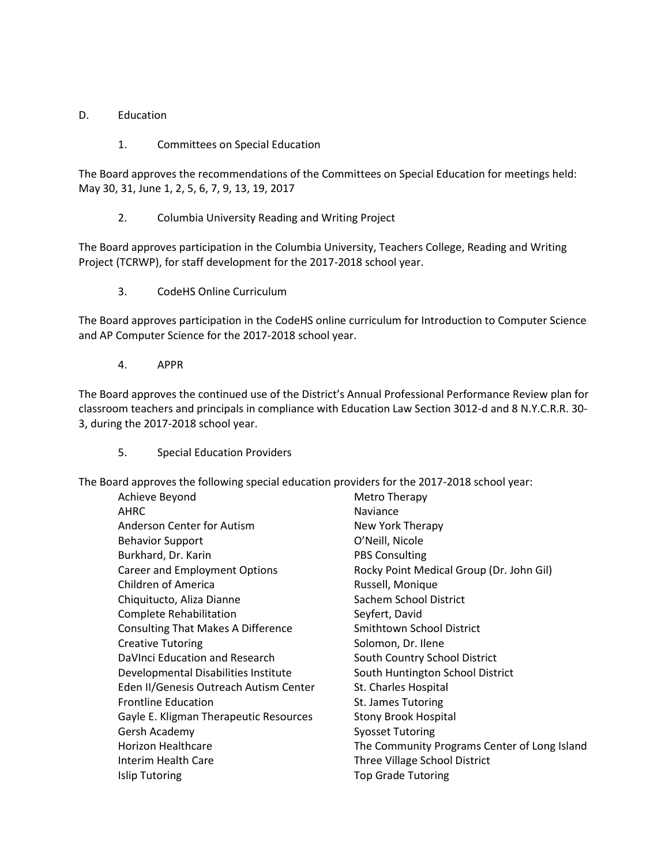# D. Education

1. Committees on Special Education

The Board approves the recommendations of the Committees on Special Education for meetings held: May 30, 31, June 1, 2, 5, 6, 7, 9, 13, 19, 2017

2. Columbia University Reading and Writing Project

The Board approves participation in the Columbia University, Teachers College, Reading and Writing Project (TCRWP), for staff development for the 2017-2018 school year.

3. CodeHS Online Curriculum

The Board approves participation in the CodeHS online curriculum for Introduction to Computer Science and AP Computer Science for the 2017-2018 school year.

4. APPR

The Board approves the continued use of the District's Annual Professional Performance Review plan for classroom teachers and principals in compliance with Education Law Section 3012-d and 8 N.Y.C.R.R. 30- 3, during the 2017-2018 school year.

5. Special Education Providers

The Board approves the following special education providers for the 2017-2018 school year:

| Achieve Beyond                            | Metro Therapy                                |
|-------------------------------------------|----------------------------------------------|
| AHRC                                      | <b>Naviance</b>                              |
| Anderson Center for Autism                | New York Therapy                             |
| <b>Behavior Support</b>                   | O'Neill, Nicole                              |
| Burkhard, Dr. Karin                       | <b>PBS Consulting</b>                        |
| Career and Employment Options             | Rocky Point Medical Group (Dr. John Gil)     |
| Children of America                       | Russell, Monique                             |
| Chiquitucto, Aliza Dianne                 | Sachem School District                       |
| Complete Rehabilitation                   | Seyfert, David                               |
| <b>Consulting That Makes A Difference</b> | Smithtown School District                    |
| <b>Creative Tutoring</b>                  | Solomon, Dr. Ilene                           |
| DaVInci Education and Research            | South Country School District                |
| Developmental Disabilities Institute      | South Huntington School District             |
| Eden II/Genesis Outreach Autism Center    | St. Charles Hospital                         |
| <b>Frontline Education</b>                | St. James Tutoring                           |
| Gayle E. Kligman Therapeutic Resources    | <b>Stony Brook Hospital</b>                  |
| Gersh Academy                             | <b>Syosset Tutoring</b>                      |
| Horizon Healthcare                        | The Community Programs Center of Long Island |
| Interim Health Care                       | Three Village School District                |
| Islip Tutoring                            | <b>Top Grade Tutoring</b>                    |
|                                           |                                              |